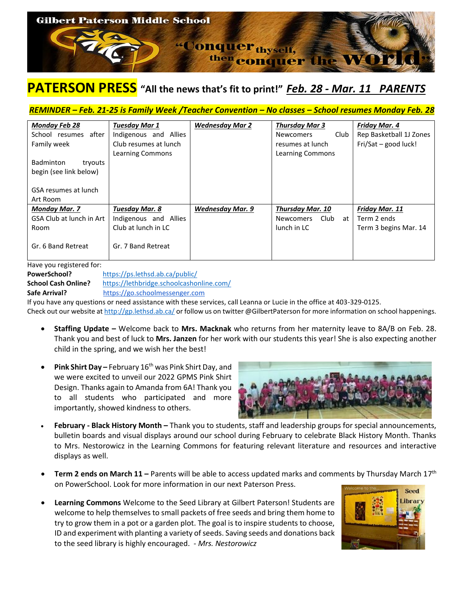

## **PATERSON PRESS "All the news that's fit to print!"** *Feb. 28 - Mar. 11 PARENTS*

## *REMINDER – Feb. 21-25 is Family Week /Teacher Convention – No classes – School resumes Monday Feb. 28*

| <b>Monday Feb 28</b>     | <b>Tuesday Mar 1</b>  | <b>Wednesday Mar 2</b>  | <b>Thursday Mar 3</b>          | <b>Friday Mar. 4</b>    |
|--------------------------|-----------------------|-------------------------|--------------------------------|-------------------------|
| after<br>School resumes  | Indigenous and Allies |                         | Club<br><b>Newcomers</b>       | Rep Basketball 1J Zones |
| Family week              | Club resumes at lunch |                         | resumes at lunch               | Fri/Sat - good luck!    |
|                          | Learning Commons      |                         | Learning Commons               |                         |
| Badminton<br>tryouts     |                       |                         |                                |                         |
| begin (see link below)   |                       |                         |                                |                         |
|                          |                       |                         |                                |                         |
| GSA resumes at lunch     |                       |                         |                                |                         |
| Art Room                 |                       |                         |                                |                         |
| <b>Monday Mar. 7</b>     | <b>Tuesday Mar. 8</b> | <b>Wednesday Mar. 9</b> | <b>Thursday Mar. 10</b>        | <b>Friday Mar. 11</b>   |
| GSA Club at lunch in Art | Indigenous and Allies |                         | Club<br><b>Newcomers</b><br>at | Term 2 ends             |
| Room                     | Club at lunch in LC   |                         | lunch in LC                    | Term 3 begins Mar. 14   |
|                          |                       |                         |                                |                         |
| Gr. 6 Band Retreat       | Gr. 7 Band Retreat    |                         |                                |                         |
|                          |                       |                         |                                |                         |

## Have you registered for:

**PowerSchool?** <https://ps.lethsd.ab.ca/public/> **School Cash Online?** <https://lethbridge.schoolcashonline.com/>

**Safe Arrival?** [https://go.schoolmessenger.com](https://go.schoolmessenger.com/) 

If you have any questions or need assistance with these services, call Leanna or Lucie in the office at 403-329-0125. Check out our website a[t http://gp.lethsd.ab.ca/](http://gp.lethsd.ab.ca/) or follow us on twitter @GilbertPaterson for more information on school happenings.

- **Staffing Update –** Welcome back to **Mrs. Macknak** who returns from her maternity leave to 8A/B on Feb. 28. Thank you and best of luck to **Mrs. Janzen** for her work with our students this year! She is also expecting another child in the spring, and we wish her the best!
- **Pink Shirt Day –** February 16th was Pink Shirt Day, and we were excited to unveil our 2022 GPMS Pink Shirt Design. Thanks again to Amanda from 6A! Thank you to all students who participated and more importantly, showed kindness to others.



- **February - Black History Month –** Thank you to students, staff and leadership groups for special announcements, bulletin boards and visual displays around our school during February to celebrate Black History Month. Thanks to Mrs. Nestorowicz in the Learning Commons for featuring relevant literature and resources and interactive displays as well.
- **Term 2 ends on March 11 –** Parents will be able to access updated marks and comments by Thursday March 17<sup>th</sup> on PowerSchool. Look for more information in our next Paterson Press.
- **Learning Commons** Welcome to the Seed Library at Gilbert Paterson! Students are welcome to help themselves to small packets of free seeds and bring them home to try to grow them in a pot or a garden plot. The goal is to inspire students to choose, ID and experiment with planting a variety of seeds. Saving seeds and donations back to the seed library is highly encouraged. - *Mrs. Nestorowicz*